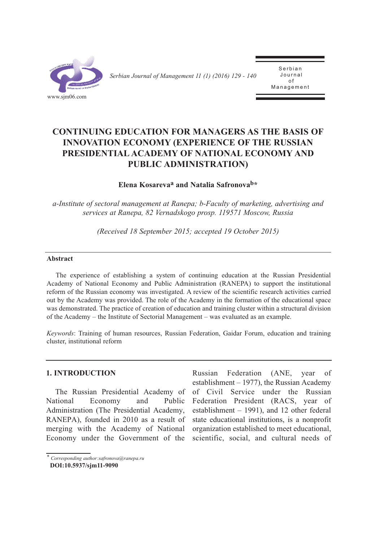

*Serbian Journal of Management 11 (1) (2016) 129 - 140* 

Serbian Journal of  $\overline{a}$ Management

# **CONTINUING EDUCATION FOR MANAGERS AS THE BASIS OF INNOVATION ECONOMY (EXPERIENCE OF THE RUSSIAN PRESIDENTIAL ACADEMY OF NATIONAL ECONOMY AND PUBLIC ADMINISTRATION)**

## **Elena Kosarevaa and Natalia Safronovab\***

*a-Institute of sectoral management at Ranepa; b-Faculty of marketing, advertising and services at Ranepa, 82 Vernadskogo prosp. 119571 Moscow, Russia*

*(Received 18 September 2015; accepted 19 October 2015)*

### **Abstract**

The experience of establishing a system of continuing education at the Russian Presidential Academy of National Economy and Public Administration (RANEPA) to support the institutional reform of the Russian economy was investigated. A review of the scientific research activities carried out by the Academy was provided. The role of the Academy in the formation of the educational space was demonstrated. The practice of creation of education and training cluster within a structural division of the Academy – the Institute of Sectorial Management – was evaluated as an example.

*Keywords*: Training of human resources, Russian Federation, Gaidar Forum, education and training cluster, institutional reform

### **1. INTRODUCTION**

The Russian Presidential Academy of National Economy and Public Administration (The Presidential Academy, RANEPA), founded in 2010 as a result of merging with the Academy of National Economy under the Government of the

Russian Federation (ANE, year of establishment – 1977), the Russian Academy of Civil Service under the Russian Federation President (RACS, year of establishment – 1991), and 12 other federal state educational institutions, is a nonprofit organization established to meet educational, scientific, social, and cultural needs of

*<sup>\*</sup> Corresponding author:safronova@ranepa.ru*

**DOI:10.5937/sjm11-9090**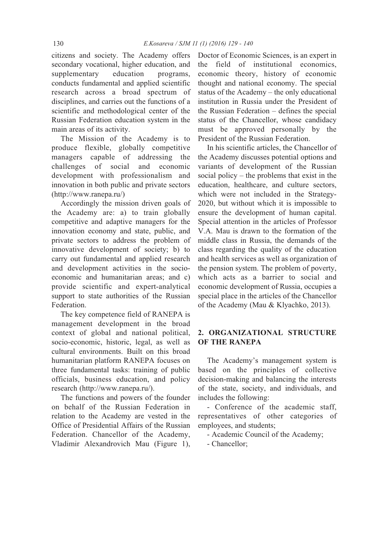citizens and society. The Academy offers secondary vocational, higher education, and supplementary education programs, conducts fundamental and applied scientific research across a broad spectrum of disciplines, and carries out the functions of a scientific and methodological center of the Russian Federation education system in the main areas of its activity.

The Mission of the Academy is to produce flexible, globally competitive managers capable of addressing the challenges of social and economic development with professionalism and innovation in both public and private sectors (http://www.ranepa.ru/)

Accordingly the mission driven goals of the Academy are: a) to train globally competitive and adaptive managers for the innovation economy and state, public, and private sectors to address the problem of innovative development of society; b) to carry out fundamental and applied research and development activities in the socioeconomic and humanitarian areas; and c) provide scientific and expert-analytical support to state authorities of the Russian Federation.

The key competence field of RANEPA is management development in the broad context of global and national political, socio-economic, historic, legal, as well as cultural environments. Built on this broad humanitarian platform RANEPA focuses on three fundamental tasks: training of public officials, business education, and policy research (http://www.ranepa.ru/).

The functions and powers of the founder on behalf of the Russian Federation in relation to the Academy are vested in the Office of Presidential Affairs of the Russian Federation. Chancellor of the Academy, Vladimir Alexandrovich Mau (Figure 1), Doctor of Economic Sciences, is an expert in the field of institutional economics, economic theory, history of economic thought and national economy. The special status of the Academy – the only educational institution in Russia under the President of the Russian Federation – defines the special status of the Chancellor, whose candidacy must be approved personally by the President of the Russian Federation.

In his scientific articles, the Chancellor of the Academy discusses potential options and variants of development of the Russian social policy – the problems that exist in the education, healthcare, and culture sectors, which were not included in the Strategy-2020, but without which it is impossible to ensure the development of human capital. Special attention in the articles of Professor V.A. Mau is drawn to the formation of the middle class in Russia, the demands of the class regarding the quality of the education and health services as well as organization of the pension system. The problem of poverty, which acts as a barrier to social and economic development of Russia, occupies a special place in the articles of the Chancellor of the Academy (Mau & Klyachko, 2013).

## **2. ORGANIZATIONAL STRUCTURE OF THE RANEPA**

The Academy's management system is based on the principles of collective decision-making and balancing the interests of the state, society, and individuals, and includes the following:

- Conference of the academic staff, representatives of other categories of employees, and students;

- Academic Council of the Academy;

- Chancellor;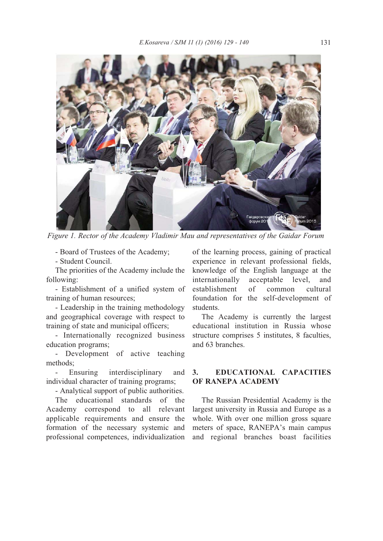

*Figure 1. Rector of the Academy Vladimir Mau and representatives of the Gaidar Forum*

- Board of Trustees of the Academy;

- Student Council.

The priorities of the Academy include the following:

- Establishment of a unified system of training of human resources;

- Leadership in the training methodology and geographical coverage with respect to training of state and municipal officers;

- Internationally recognized business education programs;

- Development of active teaching methods;

- Ensuring interdisciplinary and individual character of training programs;

- Analytical support of public authorities.

The educational standards of the Academy correspond to all relevant applicable requirements and ensure the formation of the necessary systemic and professional competences, individualization

of the learning process, gaining of practical experience in relevant professional fields, knowledge of the English language at the internationally acceptable level, and establishment of common cultural foundation for the self-development of students.

The Academy is currently the largest educational institution in Russia whose structure comprises 5 institutes, 8 faculties, and 63 branches.

## **3. EDUCATIONAL CAPACITIES OF RANEPA ACADEMY**

The Russian Presidential Academy is the largest university in Russia and Europe as a whole. With over one million gross square meters of space, RANEPA's main campus and regional branches boast facilities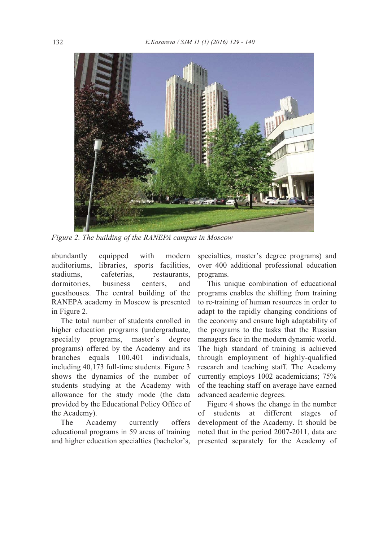

*Figure 2. The building of the RANEPA campus in Moscow* 

abundantly equipped with modern auditoriums, libraries, sports facilities, stadiums, cafeterias, restaurants, dormitories, business centers, and guesthouses. The central building of the RANEPA academy in Moscow is presented in Figure 2.

The total number of students enrolled in higher education programs (undergraduate, specialty programs, master's degree programs) offered by the Academy and its branches equals 100,401 individuals, including 40,173 full-time students. Figure 3 shows the dynamics of the number of students studying at the Academy with allowance for the study mode (the data provided by the Educational Policy Office of the Academy).

The Academy currently offers educational programs in 59 areas of training and higher education specialties (bachelor's, specialties, master's degree programs) and over 400 additional professional education programs.

This unique combination of educational programs enables the shifting from training to re-training of human resources in order to adapt to the rapidly changing conditions of the economy and ensure high adaptability of the programs to the tasks that the Russian managers face in the modern dynamic world. The high standard of training is achieved through employment of highly-qualified research and teaching staff. The Academy currently employs 1002 academicians; 75% of the teaching staff on average have earned advanced academic degrees.

Figure 4 shows the change in the number of students at different stages of development of the Academy. It should be noted that in the period 2007-2011, data are presented separately for the Academy of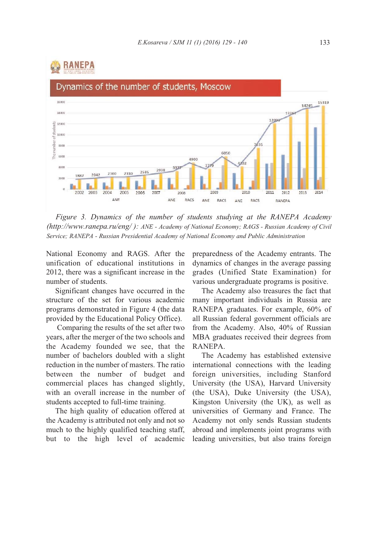

*Figure 3. Dynamics of the number of students studying at the RANEPA Academy (http://www.ranepa.ru/eng/ ): ANE - Academy of National Economy; RAGS - Russian Academy of Civil Service; RANEPA - Russian Presidential Academy of National Economy and Public Administration*

National Economy and RAGS. After the unification of educational institutions in 2012, there was a significant increase in the number of students.

Significant changes have occurred in the structure of the set for various academic programs demonstrated in Figure 4 (the data provided by the Educational Policy Office).

Comparing the results of the set after two years, after the merger of the two schools and the Academy founded we see, that the number of bachelors doubled with a slight reduction in the number of masters. The ratio between the number of budget and commercial places has changed slightly, with an overall increase in the number of students accepted to full-time training.

The high quality of education offered at the Academy is attributed not only and not so much to the highly qualified teaching staff, but to the high level of academic preparedness of the Academy entrants. The dynamics of changes in the average passing grades (Unified State Examination) for various undergraduate programs is positive.

The Academy also treasures the fact that many important individuals in Russia are RANEPA graduates. For example, 60% of all Russian federal government officials are from the Academy. Also, 40% of Russian MBA graduates received their degrees from RANEPA.

The Academy has established extensive international connections with the leading foreign universities, including Stanford University (the USA), Harvard University (the USA), Duke University (the USA), Kingston University (the UK), as well as universities of Germany and France. The Academy not only sends Russian students abroad and implements joint programs with leading universities, but also trains foreign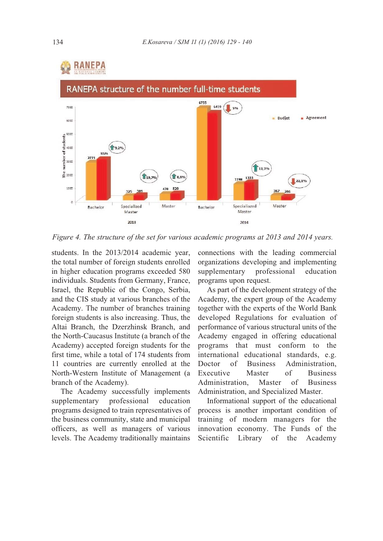

*Figure 4. The structure of the set for various academic programs at 2013 and 2014 years.*

students. In the 2013/2014 academic year, the total number of foreign students enrolled in higher education programs exceeded 580 individuals. Students from Germany, France, Israel, the Republic of the Congo, Serbia, and the CIS study at various branches of the Academy. The number of branches training foreign students is also increasing. Thus, the Altai Branch, the Dzerzhinsk Branch, and the North-Caucasus Institute (a branch of the Academy) accepted foreign students for the first time, while a total of 174 students from 11 countries are currently enrolled at the North-Western Institute of Management (a branch of the Academy).

The Academy successfully implements supplementary professional education programs designed to train representatives of the business community, state and municipal officers, as well as managers of various levels. The Academy traditionally maintains connections with the leading commercial organizations developing and implementing supplementary professional education programs upon request.

As part of the development strategy of the Academy, the expert group of the Academy together with the experts of the World Bank developed Regulations for evaluation of performance of various structural units of the Academy engaged in offering educational programs that must conform to the international educational standards, e.g. Doctor of Business Administration, Executive Master of Business Administration, Master of Business Administration, and Specialized Master.

Informational support of the educational process is another important condition of training of modern managers for the innovation economy. The Funds of the Scientific Library of the Academy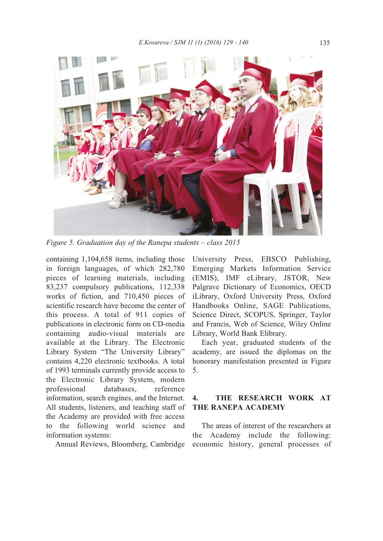

*Figure 5. Graduation day of the Ranepa students – class 2015*

containing 1,104,658 items, including those in foreign languages, of which 282,780 pieces of learning materials, including 83,237 compulsory publications, 112,338 works of fiction, and 710,450 pieces of scientific research have become the center of this process. A total of 911 copies of publications in electronic form on CD-media containing audio-visual materials are available at the Library. The Electronic Library System "The University Library" contains 4,220 electronic textbooks. A total of 1993 terminals currently provide access to the Electronic Library System, modern professional databases, reference information, search engines, and the Internet. All students, listeners, and teaching staff of the Academy are provided with free access to the following world science and information systems:

Annual Reviews, Bloomberg, Cambridge

University Press, EBSCO Publishing, Emerging Markets Information Service (EMIS), IMF eLibrary, JSTOR, New Palgrave Dictionary of Economics, OECD iLibrary, Oxford University Press, Oxford Handbooks Online, SAGE Publications, Science Direct, SCOPUS, Springer, Taylor and Francis, Web of Science, Wiley Online Library, World Bank Elibrary.

Each year, graduated students of the academy, are issued the diplomas on the honorary manifestation presented in Figure 5.

## **4. THE RESEARCH WORK AT THE RANEPA ACADEMY**

The areas of interest of the researchers at the Academy include the following: economic history, general processes of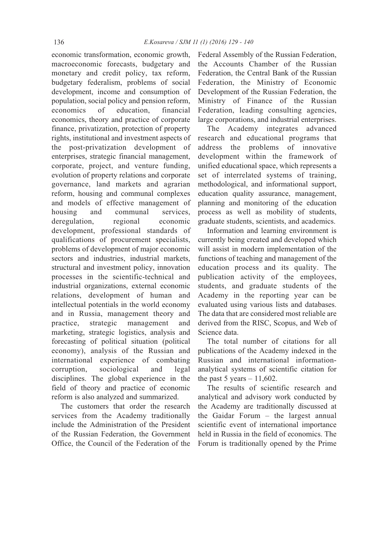economic transformation, economic growth, macroeconomic forecasts, budgetary and monetary and credit policy, tax reform, budgetary federalism, problems of social development, income and consumption of population, social policy and pension reform, economics of education, financial economics, theory and practice of corporate finance, privatization, protection of property rights, institutional and investment aspects of the post-privatization development of enterprises, strategic financial management, corporate, project, and venture funding, evolution of property relations and corporate governance, land markets and agrarian reform, housing and communal complexes and models of effective management of housing and communal services, deregulation, regional economic development, professional standards of qualifications of procurement specialists, problems of development of major economic sectors and industries, industrial markets, structural and investment policy, innovation processes in the scientific-technical and industrial organizations, external economic relations, development of human and intellectual potentials in the world economy and in Russia, management theory and practice, strategic management and marketing, strategic logistics, analysis and forecasting of political situation (political economy), analysis of the Russian and international experience of combating corruption, sociological and legal disciplines. The global experience in the field of theory and practice of economic reform is also analyzed and summarized.

The customers that order the research services from the Academy traditionally include the Administration of the President of the Russian Federation, the Government Office, the Council of the Federation of the Federal Assembly of the Russian Federation, the Accounts Chamber of the Russian Federation, the Central Bank of the Russian Federation, the Ministry of Economic Development of the Russian Federation, the Ministry of Finance of the Russian Federation, leading consulting agencies, large corporations, and industrial enterprises.

The Academy integrates advanced research and educational programs that address the problems of innovative development within the framework of unified educational space, which represents a set of interrelated systems of training, methodological, and informational support, education quality assurance, management, planning and monitoring of the education process as well as mobility of students, graduate students, scientists, and academics.

Information and learning environment is currently being created and developed which will assist in modern implementation of the functions of teaching and management of the education process and its quality. The publication activity of the employees, students, and graduate students of the Academy in the reporting year can be evaluated using various lists and databases. The data that are considered most reliable are derived from the RISC, Scopus, and Web of Science data.

The total number of citations for all publications of the Academy indexed in the Russian and international informationanalytical systems of scientific citation for the past 5 years  $-11,602$ .

The results of scientific research and analytical and advisory work conducted by the Academy are traditionally discussed at the Gaidar Forum – the largest annual scientific event of international importance held in Russia in the field of economics. The Forum is traditionally opened by the Prime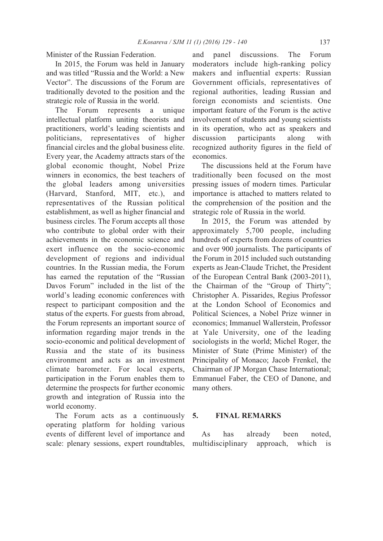Minister of the Russian Federation.

In 2015, the Forum was held in January and was titled "Russia and the World: a New Vector". The discussions of the Forum are traditionally devoted to the position and the strategic role of Russia in the world.

The Forum represents a unique intellectual platform uniting theorists and practitioners, world's leading scientists and politicians, representatives of higher financial circles and the global business elite. Every year, the Academy attracts stars of the global economic thought, Nobel Prize winners in economics, the best teachers of the global leaders among universities (Harvard, Stanford, MIT, etc.), and representatives of the Russian political establishment, as well as higher financial and business circles. The Forum accepts all those who contribute to global order with their achievements in the economic science and exert influence on the socio-economic development of regions and individual countries. In the Russian media, the Forum has earned the reputation of the "Russian Davos Forum" included in the list of the world's leading economic conferences with respect to participant composition and the status of the experts. For guests from abroad, the Forum represents an important source of information regarding major trends in the socio-economic and political development of Russia and the state of its business environment and acts as an investment climate barometer. For local experts, participation in the Forum enables them to determine the prospects for further economic growth and integration of Russia into the world economy.

The Forum acts as a continuously operating platform for holding various events of different level of importance and scale: plenary sessions, expert roundtables,

and panel discussions. The Forum moderators include high-ranking policy makers and influential experts: Russian Government officials, representatives of regional authorities, leading Russian and foreign economists and scientists. One important feature of the Forum is the active involvement of students and young scientists in its operation, who act as speakers and discussion participants along with recognized authority figures in the field of economics.

The discussions held at the Forum have traditionally been focused on the most pressing issues of modern times. Particular importance is attached to matters related to the comprehension of the position and the strategic role of Russia in the world.

In 2015, the Forum was attended by approximately 5,700 people, including hundreds of experts from dozens of countries and over 900 journalists. The participants of the Forum in 2015 included such outstanding experts as Jean-Claude Trichet, the President of the European Central Bank (2003-2011), the Chairman of the "Group of Thirty"; Christopher A. Pissarides, Regius Professor at the London School of Economics and Political Sciences, a Nobel Prize winner in economics; Immanuel Wallerstein, Professor at Yale University, one of the leading sociologists in the world; Michel Roger, the Minister of State (Prime Minister) of the Principality of Monaco; Jacob Frenkel, the Chairman of JP Morgan Chase International; Emmanuel Faber, the CEO of Danone, and many others.

### **5. FINAL REMARKS**

As has already been noted, multidisciplinary approach, which is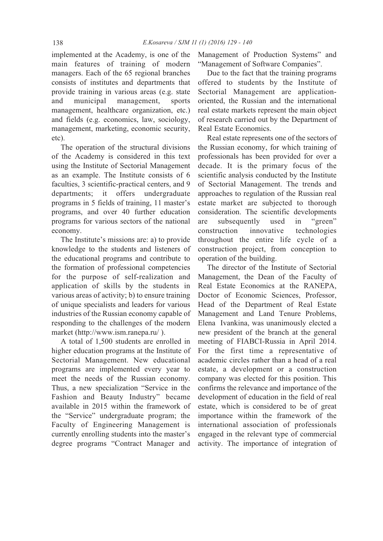implemented at the Academy, is one of the main features of training of modern managers. Each of the 65 regional branches consists of institutes and departments that provide training in various areas (e.g. state and municipal management, sports management, healthcare organization, etc.) and fields (e.g. economics, law, sociology, management, marketing, economic security, etc).

The operation of the structural divisions of the Academy is considered in this text using the Institute of Sectorial Management as an example. The Institute consists of 6 faculties, 3 scientific-practical centers, and 9 departments; it offers undergraduate programs in 5 fields of training, 11 master's programs, and over 40 further education programs for various sectors of the national economy.

The Institute's missions are: a) to provide knowledge to the students and listeners of the educational programs and contribute to the formation of professional competencies for the purpose of self-realization and application of skills by the students in various areas of activity; b) to ensure training of unique specialists and leaders for various industries of the Russian economy capable of responding to the challenges of the modern market (http://www.ism.ranepa.ru/ ).

A total of 1,500 students are enrolled in higher education programs at the Institute of Sectorial Management. New educational programs are implemented every year to meet the needs of the Russian economy. Thus, a new specialization "Service in the Fashion and Beauty Industry" became available in 2015 within the framework of the "Service" undergraduate program; the Faculty of Engineering Management is currently enrolling students into the master's degree programs "Contract Manager and Management of Production Systems" and "Management of Software Companies".

Due to the fact that the training programs offered to students by the Institute of Sectorial Management are applicationoriented, the Russian and the international real estate markets represent the main object of research carried out by the Department of Real Estate Economics.

Real estate represents one of the sectors of the Russian economy, for which training of professionals has been provided for over a decade. It is the primary focus of the scientific analysis conducted by the Institute of Sectorial Management. The trends and approaches to regulation of the Russian real estate market are subjected to thorough consideration. The scientific developments are subsequently used in "green" construction innovative technologies throughout the entire life cycle of a construction project, from conception to operation of the building.

The director of the Institute of Sectorial Management, the Dean of the Faculty of Real Estate Economics at the RANEPA, Doctor of Economic Sciences, Professor, Head of the Department of Real Estate Management and Land Tenure Problems, Elena Ivankina, was unanimously elected a new president of the branch at the general meeting of FIABCI-Russia in April 2014. For the first time a representative of academic circles rather than a head of a real estate, a development or a construction company was elected for this position. This confirms the relevance and importance of the development of education in the field of real estate, which is considered to be of great importance within the framework of the international association of professionals engaged in the relevant type of commercial activity. The importance of integration of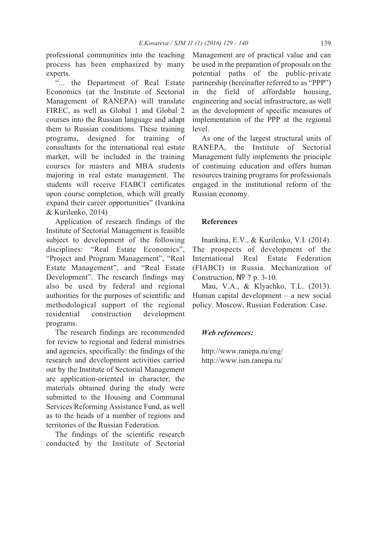professional communities into the teaching process has been emphasized by many experts.

"... the Department of Real Estate Economics (at the Institute of Sectorial Management of RANEPA) will translate FIREC, as well as Global 1 and Global 2 courses into the Russian language and adapt them to Russian conditions. These training programs, designed for training of consultants for the international real estate market, will be included in the training courses for masters and MBA students majoring in real estate management. The students will receive FIABCI certificates upon course completion, which will greatly expand their career opportunities" (Ivankina & Kurilenko, 2014)

Application of research findings of the Institute of Sectorial Management is feasible subject to development of the following disciplines: "Real Estate Economics", "Project and Program Management", "Real Estate Management", and "Real Estate Development". The research findings may also be used by federal and regional authorities for the purposes of scientific and methodological support of the regional residential construction development programs.

The research findings are recommended for review to regional and federal ministries and agencies, specifically: the findings of the research and development activities carried out by the Institute of Sectorial Management are application-oriented in character; the materials obtained during the study were submitted to the Housing and Communal Services Reforming Assistance Fund, as well as to the heads of a number of regions and territories of the Russian Federation.

The findings of the scientific research conducted by the Institute of Sectorial

Management are of practical value and can be used in the preparation of proposals on the potential paths of the public-private partnership (hereinafter referred to as "PPP") the field of affordable housing, engineering and social infrastructure, as well as the development of specific measures of implementation of the PPP at the regional level.

As one of the largest structural units of RANEPA, the Institute of Sectorial Management fully implements the principle of continuing education and offers human resources training programs for professionals engaged in the institutional reform of the Russian economy.

#### **References**

Inankina, E.V., & Kurilenko, V.I. (2014). The prospects of development of the International Real Estate Federation (FIABCI) in Russia. Mechanization of Construction,  $N^{\circ}$  7 p. 3-10.

Mau, V.A., & Klyachko, T.L. (2013). Human capital development – a new social policy. Moscow, Russian Federation: Case.

#### *Web references:*

http://www.ranepa.ru/eng/ http://www.ism.ranepa.ru/